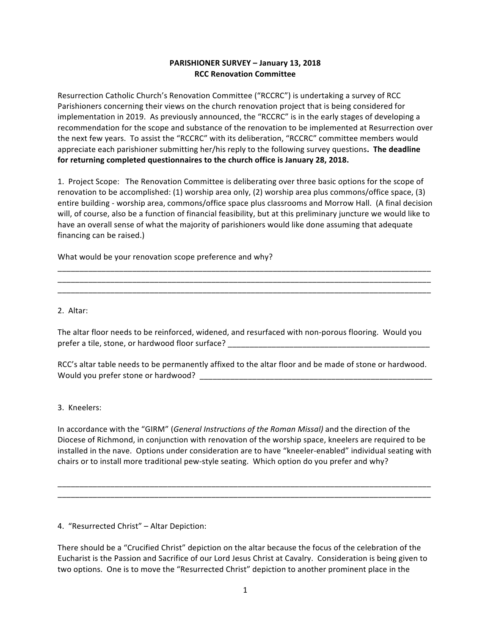## **PARISHIONER SURVEY – January 13, 2018 RCC Renovation Committee**

Resurrection Catholic Church's Renovation Committee ("RCCRC") is undertaking a survey of RCC Parishioners concerning their views on the church renovation project that is being considered for implementation in 2019. As previously announced, the "RCCRC" is in the early stages of developing a recommendation for the scope and substance of the renovation to be implemented at Resurrection over the next few years. To assist the "RCCRC" with its deliberation, "RCCRC" committee members would appreciate each parishioner submitting her/his reply to the following survey questions. The deadline for returning completed questionnaires to the church office is January 28, 2018.

1. Project Scope: The Renovation Committee is deliberating over three basic options for the scope of renovation to be accomplished:  $(1)$  worship area only,  $(2)$  worship area plus commons/office space,  $(3)$ entire building - worship area, commons/office space plus classrooms and Morrow Hall. (A final decision will, of course, also be a function of financial feasibility, but at this preliminary juncture we would like to have an overall sense of what the majority of parishioners would like done assuming that adequate financing can be raised.)

\_\_\_\_\_\_\_\_\_\_\_\_\_\_\_\_\_\_\_\_\_\_\_\_\_\_\_\_\_\_\_\_\_\_\_\_\_\_\_\_\_\_\_\_\_\_\_\_\_\_\_\_\_\_\_\_\_\_\_\_\_\_\_\_\_\_\_\_\_\_\_\_\_\_\_\_\_\_\_\_\_\_\_\_\_ \_\_\_\_\_\_\_\_\_\_\_\_\_\_\_\_\_\_\_\_\_\_\_\_\_\_\_\_\_\_\_\_\_\_\_\_\_\_\_\_\_\_\_\_\_\_\_\_\_\_\_\_\_\_\_\_\_\_\_\_\_\_\_\_\_\_\_\_\_\_\_\_\_\_\_\_\_\_\_\_\_\_\_\_\_ \_\_\_\_\_\_\_\_\_\_\_\_\_\_\_\_\_\_\_\_\_\_\_\_\_\_\_\_\_\_\_\_\_\_\_\_\_\_\_\_\_\_\_\_\_\_\_\_\_\_\_\_\_\_\_\_\_\_\_\_\_\_\_\_\_\_\_\_\_\_\_\_\_\_\_\_\_\_\_\_\_\_\_\_\_

What would be your renovation scope preference and why?

2. Altar:

The altar floor needs to be reinforced, widened, and resurfaced with non-porous flooring. Would you prefer a tile, stone, or hardwood floor surface? \_\_\_\_\_\_\_\_\_\_\_\_\_\_\_\_\_\_\_\_\_\_\_\_\_\_\_\_\_\_\_

RCC's altar table needs to be permanently affixed to the altar floor and be made of stone or hardwood. Would you prefer stone or hardwood? \_\_\_\_\_\_\_\_\_\_\_\_\_\_\_\_\_\_\_\_\_\_\_\_\_\_\_\_\_\_\_\_\_\_\_\_\_\_\_\_\_\_\_\_\_\_\_\_\_\_\_\_\_

3. Kneelers:

In accordance with the "GIRM" (General Instructions of the Roman Missal) and the direction of the Diocese of Richmond, in conjunction with renovation of the worship space, kneelers are required to be installed in the nave. Options under consideration are to have "kneeler-enabled" individual seating with chairs or to install more traditional pew-style seating. Which option do you prefer and why?

\_\_\_\_\_\_\_\_\_\_\_\_\_\_\_\_\_\_\_\_\_\_\_\_\_\_\_\_\_\_\_\_\_\_\_\_\_\_\_\_\_\_\_\_\_\_\_\_\_\_\_\_\_\_\_\_\_\_\_\_\_\_\_\_\_\_\_\_\_\_\_\_\_\_\_\_\_\_\_\_\_\_\_\_\_ \_\_\_\_\_\_\_\_\_\_\_\_\_\_\_\_\_\_\_\_\_\_\_\_\_\_\_\_\_\_\_\_\_\_\_\_\_\_\_\_\_\_\_\_\_\_\_\_\_\_\_\_\_\_\_\_\_\_\_\_\_\_\_\_\_\_\_\_\_\_\_\_\_\_\_\_\_\_\_\_\_\_\_\_\_

4. "Resurrected Christ" - Altar Depiction:

There should be a "Crucified Christ" depiction on the altar because the focus of the celebration of the Eucharist is the Passion and Sacrifice of our Lord Jesus Christ at Cavalry. Consideration is being given to two options. One is to move the "Resurrected Christ" depiction to another prominent place in the